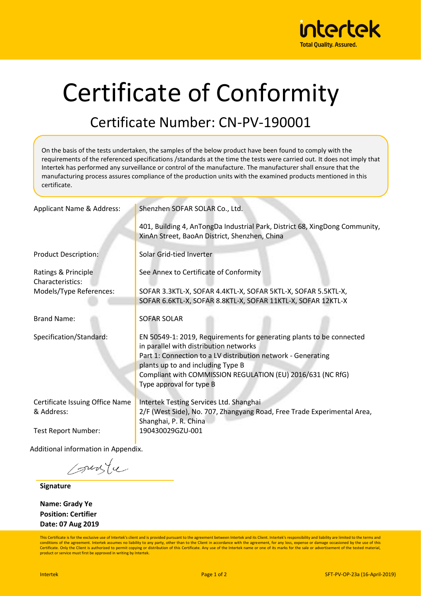

## Certificate of Conformity

## Certificate Number: CN-PV-190001

On the basis of the tests undertaken, the samples of the below product have been found to comply with the requirements of the referenced specifications /standards at the time the tests were carried out. It does not imply that Intertek has performed any surveillance or control of the manufacture. The manufacturer shall ensure that the manufacturing process assures compliance of the production units with the examined products mentioned in this certificate.

| Applicant Name & Address:                     | Shenzhen SOFAR SOLAR Co., Ltd.                                                                                                                                                                                                                                                                                 |  |  |  |
|-----------------------------------------------|----------------------------------------------------------------------------------------------------------------------------------------------------------------------------------------------------------------------------------------------------------------------------------------------------------------|--|--|--|
|                                               | 401, Building 4, AnTongDa Industrial Park, District 68, XingDong Community,<br>XinAn Street, BaoAn District, Shenzhen, China                                                                                                                                                                                   |  |  |  |
| <b>Product Description:</b>                   | Solar Grid-tied Inverter                                                                                                                                                                                                                                                                                       |  |  |  |
| Ratings & Principle<br>Characteristics:       | See Annex to Certificate of Conformity                                                                                                                                                                                                                                                                         |  |  |  |
| Models/Type References:                       | SOFAR 3.3KTL-X, SOFAR 4.4KTL-X, SOFAR 5KTL-X, SOFAR 5.5KTL-X,<br>SOFAR 6.6KTL-X, SOFAR 8.8KTL-X, SOFAR 11KTL-X, SOFAR 12KTL-X                                                                                                                                                                                  |  |  |  |
| <b>Brand Name:</b>                            | <b>SOFAR SOLAR</b>                                                                                                                                                                                                                                                                                             |  |  |  |
| Specification/Standard:                       | EN 50549-1: 2019, Requirements for generating plants to be connected<br>in parallel with distribution networks<br>Part 1: Connection to a LV distribution network - Generating<br>plants up to and including Type B<br>Compliant with COMMISSION REGULATION (EU) 2016/631 (NC RfG)<br>Type approval for type B |  |  |  |
| Certificate Issuing Office Name<br>& Address: | <b>Intertek Testing Services Ltd. Shanghai</b><br>2/F (West Side), No. 707, Zhangyang Road, Free Trade Experimental Area,<br>Shanghai, P. R. China                                                                                                                                                             |  |  |  |
| <b>Test Report Number:</b>                    | 190430029GZU-001                                                                                                                                                                                                                                                                                               |  |  |  |
| Additional information in Appendix.           |                                                                                                                                                                                                                                                                                                                |  |  |  |

sunte

**Signature**

**Name: Grady Ye Position: Certifier Date: 07 Aug 2019**

This Certificate is for the exclusive use of Intertek's client and is provided pursuant to the agreement between Intertek and its Client. Intertek's responsibility and liability are limited to the terms and conditions of the agreement. Intertek assumes no liability to any party, other than to the Client in accordance with the agreement, for any loss, expense or damage occasioned by the use of this Certificate. Only the Client is authorized to permit copying or distribution of this Certificate. Any use of the Intertek name or one of its marks for the sale or advertisement of the tested material, product or service must first be approved in writing by Intertek.